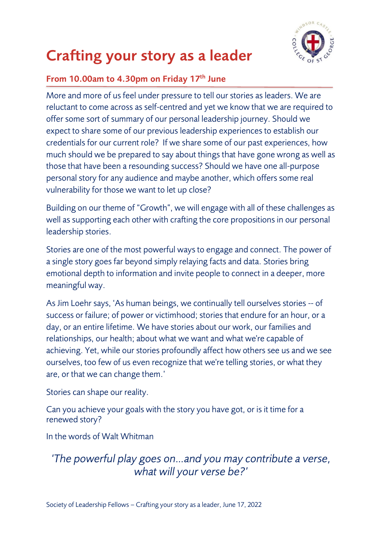

#### **Crafting your story as a leader**

#### **From 10.00am to 4.30pm on Friday 17th June**

More and more of us feel under pressure to tell our stories as leaders. We are reluctant to come across as self-centred and yet we know that we are required to offer some sort of summary of our personal leadership journey. Should we expect to share some of our previous leadership experiences to establish our credentials for our current role? If we share some of our past experiences, how much should we be prepared to say about things that have gone wrong as well as those that have been a resounding success? Should we have one all-purpose personal story for any audience and maybe another, which offers some real vulnerability for those we want to let up close?

Building on our theme of "Growth", we will engage with all of these challenges as well as supporting each other with crafting the core propositions in our personal leadership stories.

Stories are one of the most powerful ways to engage and connect. The power of a single story goes far beyond simply relaying facts and data. Stories bring emotional depth to information and invite people to connect in a deeper, more meaningful way.

As Jim Loehr says, 'As human beings, we continually tell ourselves stories -- of success or failure; of power or victimhood; stories that endure for an hour, or a day, or an entire lifetime. We have stories about our work, our families and relationships, our health; about what we want and what we're capable of achieving. Yet, while our stories profoundly affect how others see us and we see ourselves, too few of us even recognize that we're telling stories, or what they are, or that we can change them.'

Stories can shape our reality.

Can you achieve your goals with the story you have got, or is it time for a renewed story?

In the words of Walt Whitman

*'The powerful play goes on…and you may contribute a verse, what will your verse be?'*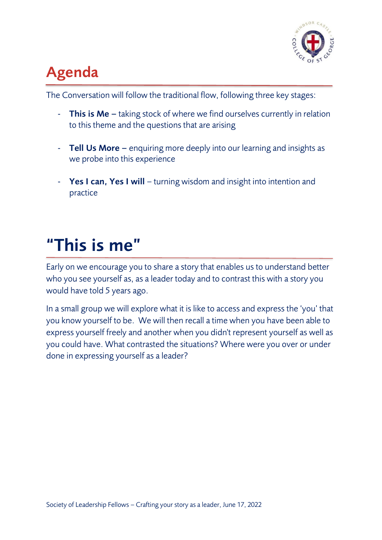

### **Agenda**

The Conversation will follow the traditional flow, following three key stages:

- **This is Me** taking stock of where we find ourselves currently in relation to this theme and the questions that are arising
- **Tell Us More –** enquiring more deeply into our learning and insights as we probe into this experience
- **Yes I can, Yes I will**  turning wisdom and insight into intention and practice

## **"This is me"**

Early on we encourage you to share a story that enables us to understand better who you see yourself as, as a leader today and to contrast this with a story you would have told 5 years ago.

In a small group we will explore what it is like to access and express the 'you' that you know yourself to be. We will then recall a time when you have been able to express yourself freely and another when you didn't represent yourself as well as you could have. What contrasted the situations? Where were you over or under done in expressing yourself as a leader?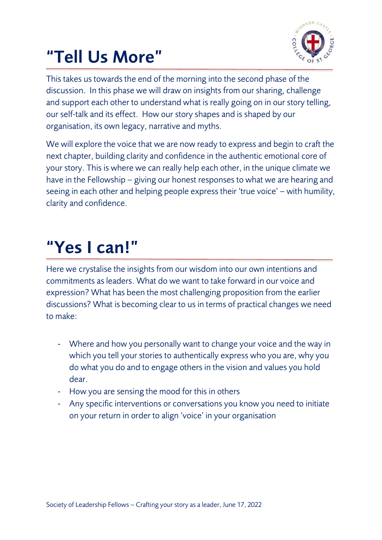# **"Tell Us More"**



This takes us towards the end of the morning into the second phase of the discussion. In this phase we will draw on insights from our sharing, challenge and support each other to understand what is really going on in our story telling, our self-talk and its effect. How our story shapes and is shaped by our organisation, its own legacy, narrative and myths.

We will explore the voice that we are now ready to express and begin to craft the next chapter, building clarity and confidence in the authentic emotional core of your story. This is where we can really help each other, in the unique climate we have in the Fellowship – giving our honest responses to what we are hearing and seeing in each other and helping people express their 'true voice' – with humility, clarity and confidence.

# **"Yes I can!"**

Here we crystalise the insights from our wisdom into our own intentions and commitments as leaders. What do we want to take forward in our voice and expression? What has been the most challenging proposition from the earlier discussions? What is becoming clear to us in terms of practical changes we need to make:

- Where and how you personally want to change your voice and the way in which you tell your stories to authentically express who you are, why you do what you do and to engage others in the vision and values you hold dear.
- How you are sensing the mood for this in others
- Any specific interventions or conversations you know you need to initiate on your return in order to align 'voice' in your organisation